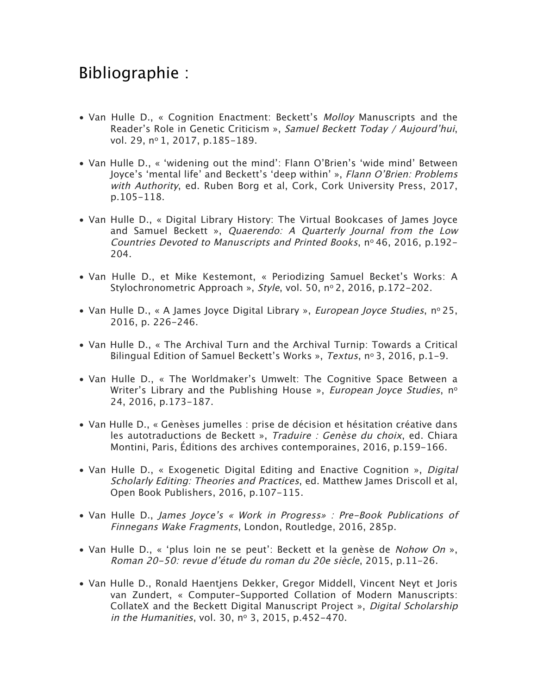## Bibliographie :

- Van Hulle D., « Cognition Enactment: Beckett's Molloy Manuscripts and the Reader's Role in Genetic Criticism », Samuel Beckett Today / Aujourd'hui, vol. 29, nº 1, 2017, p.185-189.
- Van Hulle D., « 'widening out the mind': Flann O'Brien's 'wide mind' Between Joyce's 'mental life' and Beckett's 'deep within' », Flann O'Brien: Problems with Authority, ed. Ruben Borg et al, Cork, Cork University Press, 2017, p.105-118.
- Van Hulle D., « Digital Library History: The Virtual Bookcases of James Joyce and Samuel Beckett », Quaerendo: A Quarterly Journal from the Low Countries Devoted to Manuscripts and Printed Books, no 46, 2016, p.192- 204.
- Van Hulle D., et Mike Kestemont, « Periodizing Samuel Becket's Works: A Stylochronometric Approach », Style, vol. 50, nº 2, 2016, p.172-202.
- Van Hulle D., « A James Joyce Digital Library », *European Joyce Studies*, nº 25, 2016, p. 226-246.
- Van Hulle D., « The Archival Turn and the Archival Turnip: Towards a Critical Bilingual Edition of Samuel Beckett's Works », Textus, nº 3, 2016, p.1-9.
- Van Hulle D., « The Worldmaker's Umwelt: The Cognitive Space Between a Writer's Library and the Publishing House », European Joyce Studies,  $n^{\circ}$ 24, 2016, p.173-187.
- Van Hulle D., « Genèses jumelles : prise de décision et hésitation créative dans les autotraductions de Beckett », Traduire : Genèse du choix, ed. Chiara Montini, Paris, Éditions des archives contemporaines, 2016, p.159-166.
- Van Hulle D., « Exogenetic Digital Editing and Enactive Cognition », *Digital* Scholarly Editing: Theories and Practices, ed. Matthew James Driscoll et al, Open Book Publishers, 2016, p.107-115.
- Van Hulle D., James Joyce's « Work in Progress» : Pre-Book Publications of Finnegans Wake Fragments, London, Routledge, 2016, 285p.
- Van Hulle D., « 'plus loin ne se peut': Beckett et la genèse de Nohow On », Roman 20-50: revue d'étude du roman du 20e siècle, 2015, p.11-26.
- Van Hulle D., Ronald Haentjens Dekker, Gregor Middell, Vincent Neyt et Joris van Zundert, « Computer-Supported Collation of Modern Manuscripts: CollateX and the Beckett Digital Manuscript Project », Digital Scholarship in the Humanities, vol. 30, nº 3, 2015, p.452-470.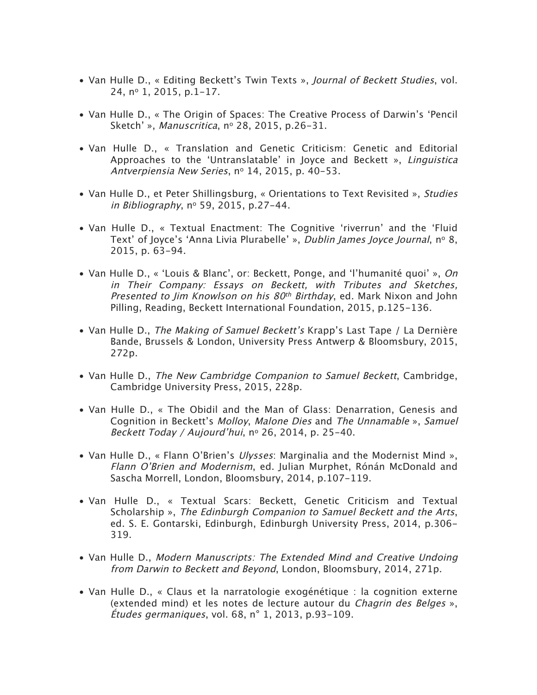- Van Hulle D., « Editing Beckett's Twin Texts », Journal of Beckett Studies, vol. 24, no 1, 2015, p.1-17.
- Van Hulle D., « The Origin of Spaces: The Creative Process of Darwin's 'Pencil Sketch' », Manuscritica, nº 28, 2015, p.26-31.
- Van Hulle D., « Translation and Genetic Criticism: Genetic and Editorial Approaches to the 'Untranslatable' in Joyce and Beckett », Linguistica Antverpiensia New Series, nº 14, 2015, p. 40-53.
- Van Hulle D., et Peter Shillingsburg, « Orientations to Text Revisited », Studies in Bibliography, no 59, 2015, p.27-44.
- Van Hulle D., « Textual Enactment: The Cognitive 'riverrun' and the 'Fluid Text' of Joyce's 'Anna Livia Plurabelle' », Dublin James Joyce Journal, nº 8, 2015, p. 63-94.
- Van Hulle D., « 'Louis & Blanc', or: Beckett, Ponge, and 'l'humanité quoi' », On in Their Company: Essays on Beckett, with Tributes and Sketches, Presented to Jim Knowlson on his  $80<sup>th</sup>$  Birthday, ed. Mark Nixon and John Pilling, Reading, Beckett International Foundation, 2015, p.125-136.
- Van Hulle D., The Making of Samuel Beckett's Krapp's Last Tape / La Dernière Bande, Brussels & London, University Press Antwerp & Bloomsbury, 2015, 272p.
- Van Hulle D., The New Cambridge Companion to Samuel Beckett, Cambridge, Cambridge University Press, 2015, 228p.
- Van Hulle D., « The Obidil and the Man of Glass: Denarration, Genesis and Cognition in Beckett's Molloy, Malone Dies and The Unnamable », Samuel Beckett Today / Aujourd'hui, nº 26, 2014, p. 25-40.
- Van Hulle D., « Flann O'Brien's Ulysses: Marginalia and the Modernist Mind », Flann O'Brien and Modernism, ed. Julian Murphet, Rónán McDonald and Sascha Morrell, London, Bloomsbury, 2014, p.107-119.
- Van Hulle D., « Textual Scars: Beckett, Genetic Criticism and Textual Scholarship », The Edinburgh Companion to Samuel Beckett and the Arts, ed. S. E. Gontarski, Edinburgh, Edinburgh University Press, 2014, p.306- 319.
- Van Hulle D., Modern Manuscripts: The Extended Mind and Creative Undoing from Darwin to Beckett and Beyond, London, Bloomsbury, 2014, 271p.
- Van Hulle D., « Claus et la narratologie exogénétique : la cognition externe (extended mind) et les notes de lecture autour du Chagrin des Belges », Études germaniques, vol. 68, n° 1, 2013, p.93-109.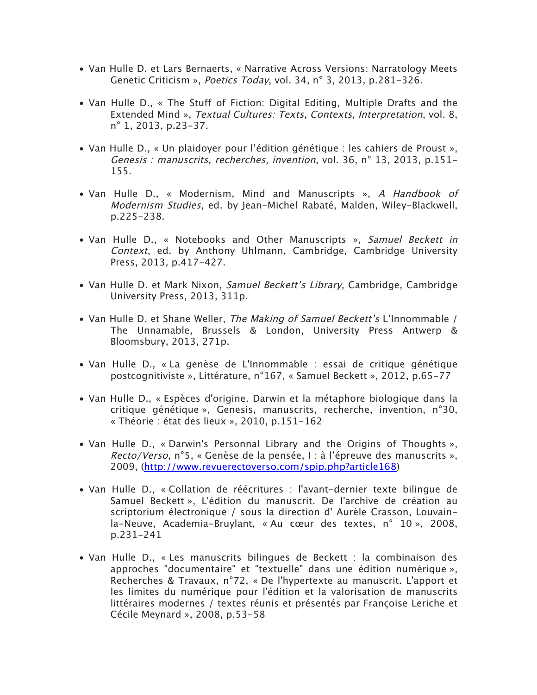- Van Hulle D. et Lars Bernaerts, « Narrative Across Versions: Narratology Meets Genetic Criticism », Poetics Today, vol. 34, n° 3, 2013, p.281-326.
- Van Hulle D., « The Stuff of Fiction: Digital Editing, Multiple Drafts and the Extended Mind », Textual Cultures: Texts, Contexts, Interpretation, vol. 8, n° 1, 2013, p.23-37.
- Van Hulle D., « Un plaidoyer pour l'édition génétique : les cahiers de Proust », Genesis : manuscrits, recherches, invention, vol. 36, n° 13, 2013, p.151- 155.
- Van Hulle D., « Modernism, Mind and Manuscripts », A Handbook of Modernism Studies, ed. by Jean-Michel Rabaté, Malden, Wiley-Blackwell, p.225-238.
- Van Hulle D., « Notebooks and Other Manuscripts », Samuel Beckett in Context, ed. by Anthony Uhlmann, Cambridge, Cambridge University Press, 2013, p.417-427.
- Van Hulle D. et Mark Nixon, Samuel Beckett's Library, Cambridge, Cambridge University Press, 2013, 311p.
- Van Hulle D. et Shane Weller, The Making of Samuel Beckett's L'Innommable / The Unnamable, Brussels & London, University Press Antwerp & Bloomsbury, 2013, 271p.
- Van Hulle D., « La genèse de L'Innommable : essai de critique génétique postcognitiviste », Littérature, n°167, « Samuel Beckett », 2012, p.65-77
- Van Hulle D., « Espèces d'origine. Darwin et la métaphore biologique dans la critique génétique », Genesis, manuscrits, recherche, invention, n°30, « Théorie : état des lieux », 2010, p.151-162
- Van Hulle D., « Darwin's Personnal Library and the Origins of Thoughts », Recto/Verso, n°5, « Genèse de la pensée, I : à l'épreuve des manuscrits », 2009, (http://www.revuerectoverso.com/spip.php?article168)
- Van Hulle D., « Collation de réécritures : l'avant-dernier texte bilingue de Samuel Beckett », L'édition du manuscrit. De l'archive de création au scriptorium électronique / sous la direction d' Aurèle Crasson, Louvainla-Neuve, Academia-Bruylant, « Au cœur des textes, n° 10 », 2008, p.231-241
- Van Hulle D., « Les manuscrits bilingues de Beckett : la combinaison des approches "documentaire" et "textuelle" dans une édition numérique », Recherches & Travaux, n°72, « De l'hypertexte au manuscrit. L'apport et les limites du numérique pour l'édition et la valorisation de manuscrits littéraires modernes / textes réunis et présentés par Françoise Leriche et Cécile Meynard », 2008, p.53-58